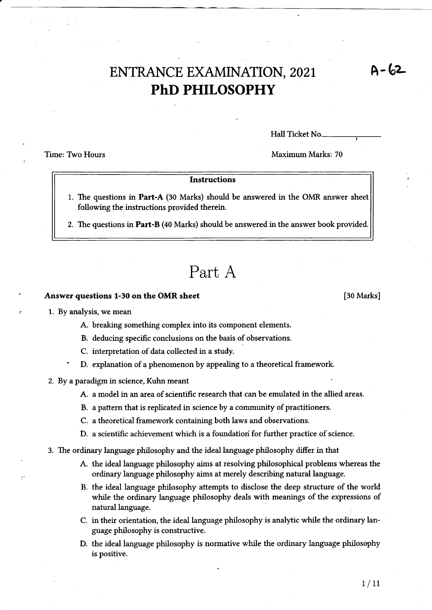# ENTRANCE EXAMINATION, 2021 **A-62-**PhD PHILOSOPHY

Hall Ticket No.

Time: TWo Hours

### Maximum Marks: 70

### Instructions

- 1. The questions in Part-A (30 Marks) should be answered in the OMR answer sheet following the instructions provided therein.
- 2. The questions in Part-B (40 Marks) should be answered in the answer book provided.

# Part A

### Answer questions 1-30 on the OMR sheet [30 Marks]

### 1. By analysis, we mean

- A. breaking something complex into its component elements.
- B. deducing specific conclusions on the basis of observations.
- C. interpretation of data collected in a study.
- D. explanation of a phenomenon by appealing to a theoretical framework.
- 2. By a paradigm in science, Kuhn meant
	- A. a model in an area of scientific research that can be emulated in the allied areas.
	- B. a pattern that is replicated in science by a community of practitioners.
	- C. a theoretical framework containing both laws and observations.
	- D. a scientific achievement which is a foundatiori for further practice of science.
- 3. The ordinary language philosophy and the ideal language philosophy differ in that
	- A. the ideal language philosophy aims at resolving philosophical problems whereas the ordinary language philosophy aims at merely describing natural language.
	- B. the ideal language philosophy attempts to disclose the deep structure of the world while the ordinary language philosophy deals with meanings of the expressions of natural language.
	- C. in their orientation, the ideal language philosophy is analytic while the ordinary language philosophy is constructive.
	- D. the ideal language philosophy is normative while the ordinary language philosophy is positive.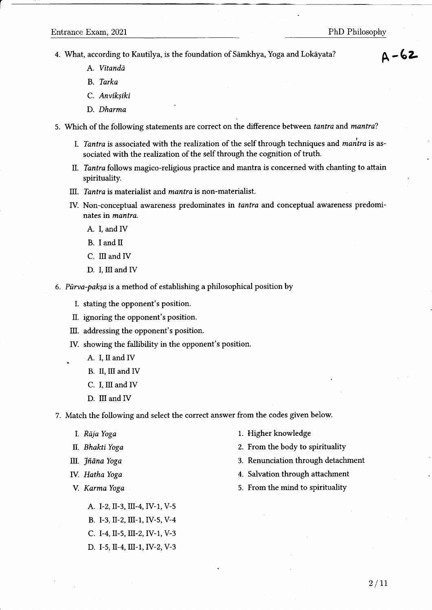$A - 62$ 

4. What, according to Kautilya, is the foundation of Sāmkhya, Yoga and Lokāyata?

- A. Vitanda
- B. Tarka
- C. Anviksiki
- D. Dharma
- 5. Which of the following statements are correct on the difference between tantra and mantra?
	- I. Tantra is associated with the realization of the self through techniques and mantra is associated with the realization of the self through the cognition of truth.
	- II. Tantra follows magico-religious practice and mantra is concerned with chanting to attain spirituality.
	- III. Tantra is materialist and mantra is non-materialist.
	- IV. Non-conceptual awareness predominates in tantra and conceptual awareness predominates in mantra.
		- A. I, and IV
		- B. I and II
		- C. III and IV
		- D. I, III and IV
- 6. Purva-pakga is a method of establishing a philosophical position by
	- I. stating the opponent's position.
	- II. ignoring the opponent's position.
	- III. addressing the opponent's position.
	- IV. showing the fallibility in the opponent's position.
		- A. I, II and IV
		- B. II, III and IV
		- C. I, III and IV
		- D. III and IV

7. Match the following and select the correct answer from the codes given below.

- 
- 
- 
- 
- - A. I-2,II-3, III-4,IV-1, V-5
	- B. I-3, II-2, III-1, IV-5, V-4
	- c. I-4,II-5, m-2,IV-1, V-3
	- D. I-5, II-4, III-1, IV-2, V-3
- I. Rāja Yoga 1. Higher knowledge
- II. Bhakti Yoga 2. From the body to spirituality
- W. Jñāna Yoga 3. Renunciation through detachment
- IV. Hatha Yoga 4. Salvation through attachment
- V. Karma Yoga 5. From the mind to spirituality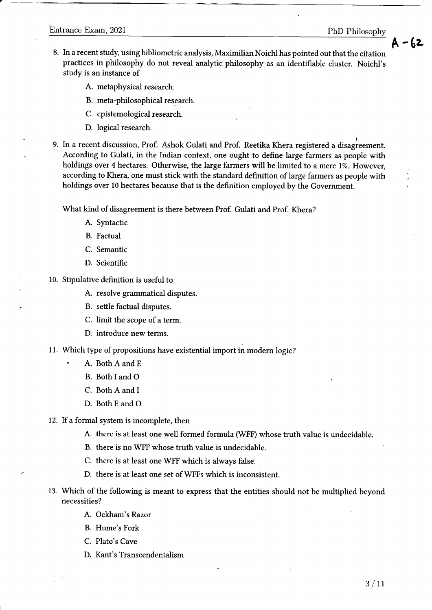- A -62
- 8. In a recent study, using bibliometric analysis, Maximilian Noichl has pointed out that the citation practices in philosophy do not reveal analytic philosophy as an identifiable cluster. Noichl's study is an instance of
	- A. metaphysical research.
	- B. meta-philosophical research.
	- C. epistemological research.
	- D. logical research.
- 9. In a recent discussion, Prof. Ashok Gulati and Prof. Reetika Khera registered a disagreement. According to Gulati, in the Indian context, one ought to define large farmers as people with holdings over 4 hectares. Otherwise, the large farmers will be limited to a mere 1%. However, according to Khera, one must stick with the standard definition of large farmers as people with holdings over 10 hectares because that is the definition employed by the Government.

What kind of disagreement is there between Prof. Gulati and Prof. Khera?

- A. Syntactic
- B. Factual
- C. Semantic
- D. Scientific
- 10. Stipulative definition is useful to
	- A. resolve grammatical disputes.
	- B. settle factual disputes.
	- C. limit the scope of a term.
	- D. introduce new terms.
- 11. Which type of propositions have existential import in modern logic?
	- A. Both A and E
	- B. Both I and O
	- C. Both A and I
	- D. Both E and O
- 12. If a formal system is incomplete, then
	- A. there is at least one well formed formula (WFF) whose truth value is undecidable.
	- B. there is no WFF whose truth value is undecidable.
	- C. there is at least one WFF which is always false.
	- D. there is at least one set of WIFs which is inconsistent.
- 13. Which of the following is meant to express that the entities should not be multiplied beyond necessities?
	- A. Ockham's Razor
	- B. Hume's Fork
	- C. Plato's Cave
	- D. Kant's Transcendentalism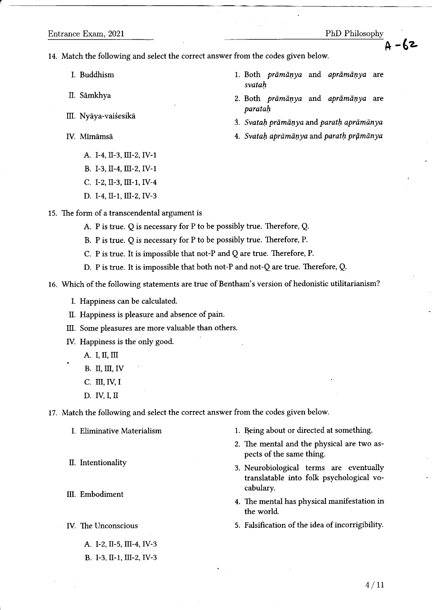h -62

14. Match the following and select the correct answer from the codes given below

I. Buddhism

- II. Samkhya
- III. Nyāya-vaiśesikā
- IV. Mīmāmsā
	- A. I-4, II-3, III-2, IV-1
	- B. I-3, II-4, III-2, [V-1
	- C. I-2, II-3, III-1, IV-4
	- D. I-4, II-1, III-2, IV-3
- 15. The form of a transcendental argument is
	- A. P is true. Q is necessary for P to be possibly true. Therefore, Q.
	- B. P is true. Q is necessary for P to be possibly true. Therefore, P.
	- C. P is true. It is impossible that not-P and Q are true. Therefore, P.
	- D. P is true. It is impossible that both not-P and not-Q are true. Therefore, Q.
- 16. Which of the following statements are true of Bentham's version of hedonistic utilitarianism?
	- I. Happiness can be calculated.
	- II. Happiness is pleasure and absence of pain.
	- III. Some pleasures are more valuable than others.
	- IV. Happiness is the only good.
		- A. I, II, III
		- B. II, III, IV
		- C. M,IV,I
		- D. IV, I, II

17. Match the following and select the correct answer from the codes given below.

- I. Eliminative Materialism
- II. Intentionality
- III. Embodiment
- IV. The Unconscious
	- A. l-2,II-5, m-4,IV-3 B. I-3, II-1, III-2, IV-3
- 1. Being about or directed at something.
- 2. The mental and the physical are two aspects of the same thing.
- 3. Neurobiological terms are eventually translatable into folk psychological vocabulary.
- 4. The mental has physical manifestation in the world.
- 5. Falsification of the idea of incorrigibility.
- 1. Both *prāmāņya* and *aprāmāņya* are svatah
- 2. Both *prāmāņya* and *aprāmāņya* are **paratah**
- 3. Svatah prāmāņya and parath aprāmānya
- 4. Svatah aprāmāņya and parath prāmānya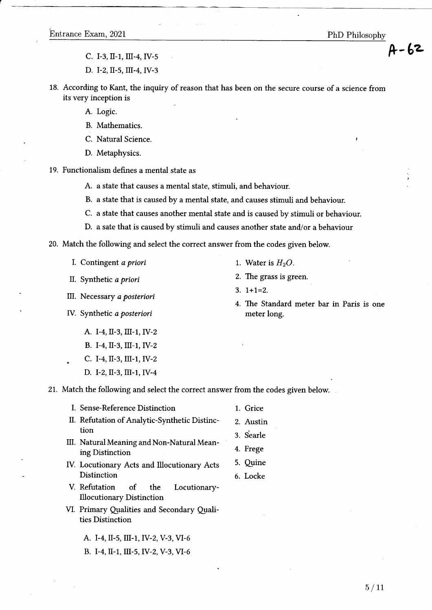;

C. I-3, II-1, III-4, IV-5<br>D. I-2 II-5 III-4, IV-3

D. I-2, II-5, III-4, IV-3

18. According to Kant, the inquiry of reason that has been on the secure course of a science from its very inception is

A. Logic.

- B. Mathematics.
- C. Natural Science.
- D. Metaphysics.

19. Functionalism defines a mental state as

- A. a state that causes a mental state, stimuli, and behaviour.
- B. a state that is caused by a mental state, and causes stimuli and behaviour.
- C. a state that causes another mental state and is caused by stimuli or behaviour.
- D. a sate that is caused by stimuli and causes another state and/or a behaviour
- 20. Match the following and select the correct answer from the codes given below.
	- I. Contingent a priori 1. Water is  $H_2O$ .
	- II. Synthetic  $a$  priori 2. The grass is green.
	- III. Necessary *a posteriori* 3.  $1+1=2$ .
	- IV. Synthetic a posteriori meter long.
		- A. I-4, II-3, III-1, IV-2
		- B. I-4, II-3, III-1, IV-2
		- . c. I-4,II-3, m-1,IV-z

D. I-2, II-3, III-1, IV-4

21. Match the following and select the correct answer from the codes given below.

I. Sense-Reference Distinction 1. Grice

- II. Refutation of Analytic-Synthetic Distinc- 2. Austin tion 3. Searle
- III. Natural Meaning and Non-Natural Mean-<sup>1</sup> Information and the continuum of the continuum of the same dependent of the same dependent of the same dependent of  $\frac{1}{2}$  and  $\frac{1}{2}$  and  $\frac{1}{2}$  and  $\frac{1}{2}$  and  $\frac{1}{2}$  and  $\frac{1}{2}$  and  $\frac{1}{2}$  and  $\frac{$
- IV. Locutionary Acts and Illocutionary Acts 5. Quine Distinction 6. Locke
- V. Refutation of the Locutionary-Illocutionary Distinction
- VI. Primary Qualities and Secondary Qualities Distinction
	- A. I-4, II-5, III-1, IV-2, V-3, VI-6
	- B. I-4, II-1, UI-5, IV-2,V-3,V1-6
- 
- 
- 
- 
- 
- 

 $5/11$ 

- 
- 
- 
- 4. The standard meter bar in paris is one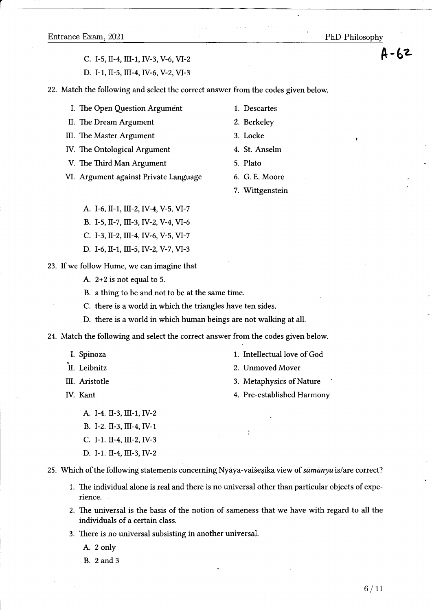- C. I-5, II-4, III-1, IV-3, V-6, VI-2  $\mathsf{A}$  62
- D. I-1, II-5, III-4, IV-6, V-2, VI-3

22. Match the following and select the correct answer from the codes given below.

- I. The Open Question Argument 1. Descartes
- II. The Dream Argument 2. Berkeley
- III. The Master Argument 3. Locke
- IV. The Ontological Argument 4. St. Anselm
- V. The Third Man Argument 5. Plato
- VI. Argument against Private Language 6. G. E. Moore
- 
- 
- 
- 
- -
	- 7. Wittgenstein
	- A. I-6, II-1, III-2, IV-4, V-5, VI-7
	- B. I-5, II-7, III-3, IV-2, V-4, VI-6
	- C. I-3, II-2, III-4, IV-6, V-5, VI-7
	- D. I-6, II-1, III-5, IV-2, V-7, VI-3
- 23. If we follow Hume, we can imagine that
	- A. 2+2 is not equal to 5.
	- B. a thing to be and not to be at the same time.
	- C. there is a world in which the triangles have ten sides.
	- D. there is a world in which human beings are not walking at all.

24. Match the following and select the correct answer from the codes given below.

- 
- 
- 
- - A. I-4. II-3, III-1, IV-z
	- B. I-2. II-3, III-4, IV-1
	- C. I-1. II-4, III-2, IV-3
	- D. I-1. II-4, III-3, IV-2
- 25. Which of the following statements concerning Nyaya-vaisesika view of samanya is/are correct?
	- 1. The individual alone is real and there is no universal other than particular objects of experience.
	- 2. The universal is the basis of the notion of sameness that we have with regard to all the individuals of a certain class.
	- 3. There is no universal subsisting in another universal.
		- A. 2 only
		- B.2and3

 $6/11$ 

- I. Spinoza 1. Intellectual love of God
- II. Leibnitz 2. Unmoved Mover
- III. Aristotle 3. Metaphysics of Nature
- IV. Kant 4. Pre-established Harmony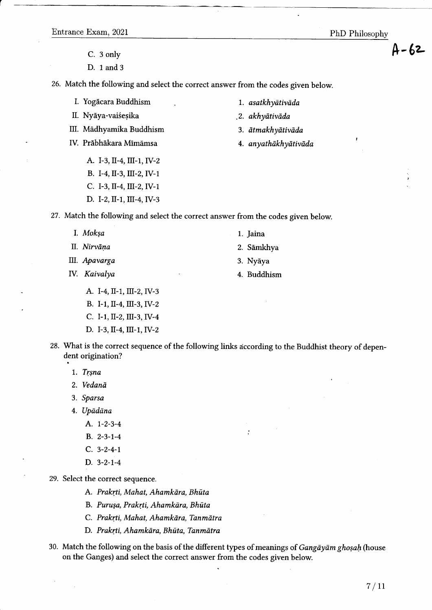- C. 3 only  $A-62$
- D. 1 and 3

26. Match the following and select the correct answer from the codes given below.

- I. Yogācara Buddhism
- II. Nyāya-vaiśesika
- III. Mādhyamika Buddhism
- IV. Prābhākara Mīmāmsa
	- A. I-3, II-4, III-1, IV-2
	- B. I-4, II-3, III-2, IV-1
	- C. I-3, II-4, III-2, IV-1
	- D. I-2, II-1, III-4, IV-3

27. Match the following and select the correct answer from the codes given below.

- l. Mokga
- II. Nirvāņa

lll. Apavarga

- IV. Kaivalya
	- A. I-4, II-1, III-2, IV-3
	- B. I-1, II-4, III-3, IV-2
	- C. I-1, II-2, III-3, IV-4
	- D. I-3, II-4, III-1, IV-2
- 1. Jaina
- 2. Samkhya

1. asatkhyātivāda

3. atmakhyatiyada

4. anyathākhyātivāda

.2. akhyātivāda

- 3. Nydya
- 4. Buddhism

- 28. What is the correct sequence of the following links according to the Buddhist theory of dependent origination?
	- 1. Trsna
	- 2. Vedana
	- 3. Sparsa
	- 4. Upadana
		- A. 1.-2-3-4
		- $B. 2-3-1-4$
		- $C. 3-2-4-1$
		- $D. 3-2-1-4$
- 29. Select the correct sequence.
	- A. Prakrti, Mahat, Ahamkāra, Bhūta
	- B. Purușa, Prakrti, Ahamkāra, Bhūta
	- C. Prakrti, Mahat, Ahamkāra, Tanmātra
	- D. Prakrti, Ahamkāra, Bhūta, Tanmātra
- 30. Match the following on the basis of the different types of meanings of Gangayam ghosah (house on the Ganges) and select the correct answer from the codes given below.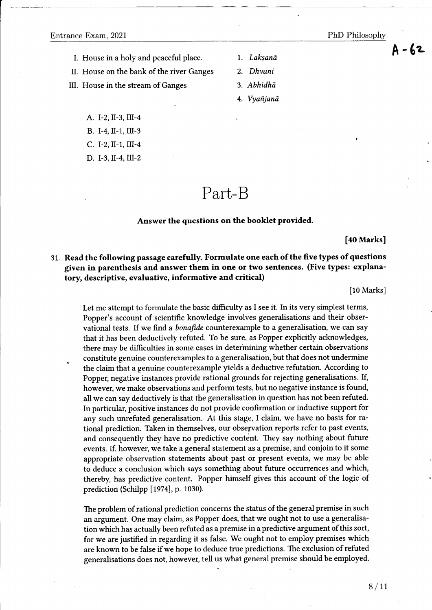I. House in a holy and peaceful place.

IL House on the bank of the river Ganges

- III. House in the stream of Ganges
	- A. I-2,II-3,III-4
	- B. I-4, II-1, III-3
	- C. I-2, II-1, III-4
	- D. I-3, II-4, III-2

.

Part-B

1. Lak;and 2. Dhvani

3. Abhidha 4. Vyafijana

Answer the questions on the booklet provided.

[ao Marks]

### 31. Read the following passage carefully. Formulate one each of the five types of questions given in parenthesis and answer them in one or two sentences. (Five types: explanatory, descriptive, evaluative, informative and critical)

[10 Marks]

Let me attempt to formulate the basic difficulty as I see it. In its very simplest terms, Popper's account of scientific knowledge involves generalisations and their observational tests. If we find a bonafide counterexample to a generalisation, we can say that it has been deductively refuted. To be sure, as Popper explicitly acknowledges, there may be difficulties in some cases in determining whether certain observations constitute genuine counterexamples to a generalisation, but that does not undermine the claim that a genuine counterexample yields a deductive refutation. According to Popper, negative instances provide rational grounds for rejecting generalisations. If, however, we make observations and perform tests, but no negative instance is found, all we can say deductively is that the generalisation in question has not been refuted. In particular, positive instances do not provide confirmation or inductive support for any such unrefuted generalisation. At this stage, I claim, we have no basis for rational prediction. Taken in themselves, our observation reports refer to past events, and consequently they have no predictive content. They say nothing about future events. If, however, we take a general statement as a premise, and conjoin to it some appropriate observation statements about past or present events, we may be able to deduce a conclusion which says something about future occurrences and which, thereby, has predictive content. Popper himself gives this account of the logic of prediction (Schilpp [1974], p. 1030).

The problem of rational prediction concerns the status of the general premise in such an argument. One may claim, as Popper does, that we ought not to use a generalisation which has actually been refuted as a premise in a predictive argument of this sort, for we are justified in regarding it as false. We ought not to employ premises which are known to be false if we hope to deduce true predictions. The exclusion of refuted generalisations does not, however, tell us what general premise should be employed. A - 62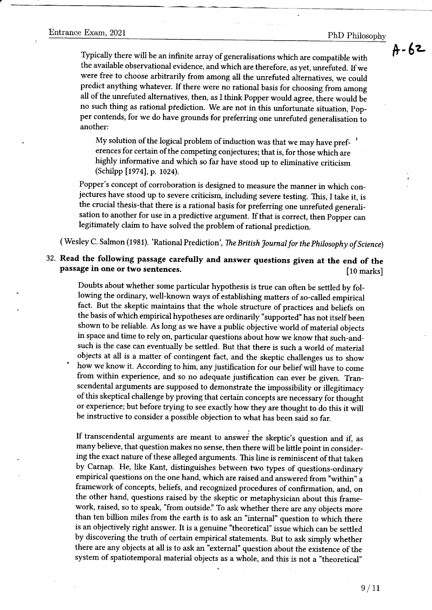$A - 62$ 

Typically there will be an infinite array of generalisations which are compatible with the available observational evidence, and which are therefore, as yet, unrefuted. If we were free to choose arbitrarily from among all the unrefuted alternatives, we could predict anything whatever. If there were no rational basis for choosing from among all of the unrefuted alternatives, then, as I think Popper would agree, there would be no such thing as rational pfediction. We are not in this unfortunate situation, popper contends, for we do have grounds for preferring one unrefuted generalisation io another:

My solution of the logical problem of induction was that we may have pref- ' erences for certain of the competing conjectures; that is, for those which are highly informative and which so far have stood up to eliminative criticism (Schilpp [1974], p. 1024).

Popper's concept of corroboration is designed to measure the manner in which conjectures have stood up to severe criticism, including severe testing. This, I take it, is the crucial thesis-that there is a rational basis for preferring one unrefuted generalisation to another for use in a predictive argument. If that is correct, then Popper can legitimately claim to have solved the problem of rational prediction.

(Wesley C. Salmon (1981). 'Rational Prediction', The British Journal for the Philosophy of Science)

## 32. Read the following passage carefully and answer questions given at the end of the passage in one or two sentences. [10 marks]

Doubts about whether some particular hypothesis is true can often be settled by following the ordinary, well-known ways of establishing matters of so-called empirical fact. But the skeptic maintains that the whole structure of practices and beliefs on the basis of which empirical hypotheses are ordinarily "supported" has not itself been shown to be reliable. As long as we have a public objective world of material objects in space and time to rely on, particular questions about how we know that such-andsuch is the case can eventually be settled. But that there is such a world of material objects at all is a matter of contingent fact, and the skeptic challenges us to show how we know it. According to him, any justification for our belief will have to come from within experience, and so no adequate justification can ever be given. Transcendental arguments are supposed to demonstrate the impossibility or illegitimacy of this skeptical challenge by proving that certain concepts are necessary for thought or experience; but before trying to see exactly how they are thought to do this it will be instructive to consider a possible objection to what has been said so far.

If transcendental arguments are meant to answer the skeptic's question and if, as many believe, that question makes no sense, then there will be little point in considering the exact nature of these alleged arguments. This line is reminiscent of that taken by Carnap. He, like Kant, distinguishes between two types of questions-ordinary empirical questions on the one hand, which are raised and answered from "within" <sup>a</sup> framework of concepts, beliefs, and recognized procedures of confirmation, and, on the other hand, questions raised by the skeptic or metaphysician about this framework, raised, so to speak, "from outside." To ask whether there are any objects more than ten billion miles from the earth is to ask an "internal" question to which there is an objectively right answer. It is a genuine "theoretical" issue which can be settled by discovering the truth of certain empirical statements. But to ask simply whether there are any objects at all is to ask an "external" question about the existence of the system of spatiotemporal material objects as a whole, and this is not a "theoretical"

 $9/11$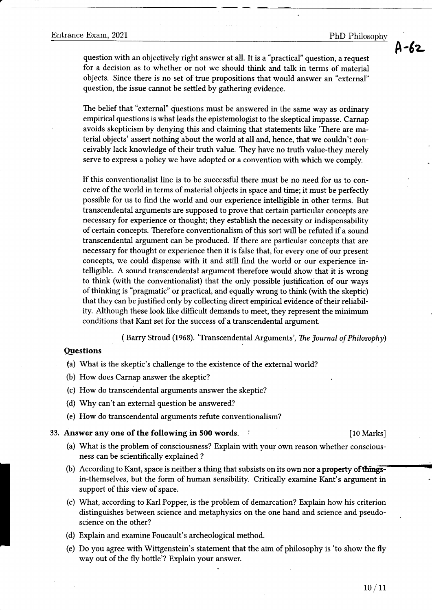$A - 62$ 

question with an objectively right answer at all. It is a "practical" question, a request for a decision as to whether or not we should think and talk in terms of material objects. Since there is no set of true propositions that would answer an "external" question, the issue cannot be settled by gathering evidence.

The belief that "external" questions must be answered in the same way as ordinary empirical questions is what leads the epistemologist to the skeptical impasse. Carnap avoids skepticism by denying this and claiming that statements like 'There are material objects' assert nothing about the world at all and, hence, that we couldn't conceivably lack knowledge of their truth value. They have no truth value-they merely serve to express a policy we have adopted or a convention with which we comply.

If this conventionalist line is to be successful there must be no need for us to conceive of the world in terms of material objects in space and time; it must be perfectly possible for us to find the world and our experience intelligible in other terms. But transcendental arguments are supposed to prove that certain particular concepts are necessary for experience or thought; they establish the necessity or indispensability of certain concepts. Therefore conventionalism of this sort will be refuted if a sound transcendental argument can be produced. If there are particular concepts that are necessary for thought or experience then it is false that, for every one of our present concepts, we could dispense with it and still find the world or our experience intelligible. A sound transcendental argument therefore would show that it is wrong to think (with the conventionalist) that the only possible justification of our ways of thinking is "pragmatic" or practical, and equally wrong to think (with the skeptic) that they can be justified only by collecting direct empirical evidence of their reliability. Although these look like difficult demands to meet, they represent the minimum conditions that Kant set for the success of a transcendental argument.

( Barry Stroud (1968). 'Transcendental Arguments', The Journal of Philosophy)

### Questions

- (a) What is the skeptic's challenge to the existence of the external world?
- (b) How does Carnap answer the skeptic?
- (c) How do transcendental arguments answer the skeptic?
- (d) Why can't an external question be answered?
- (e) How do transcendental arguments refute conventionalism?

### 33. Answer any one of the following in 500 words.  $\sim$  [10 Marks]

- (a) What is the problem of consciousness? Explain with your own reason whether consciousness can be scientifically explained ?
- (b) According to Kant, space is neither a thing that subsists on its own nor a property of thingsin-themselves, but the form of human sensibility. Critically examine Kant's argument in support of this view of space.
- (c) What, according to Karl Popper, is the problem of demarcation? Explain how his criterion distinguishes between science and metaphysics on the one hand and science and pseudoscience on the other?
- (d) Explain and examine Foucault's archeological method.
- (e) Do you agree with Wittgenstein's statement that the aim of philosophy is 'to show the fly way out of the fly bottle'? Explain your answer.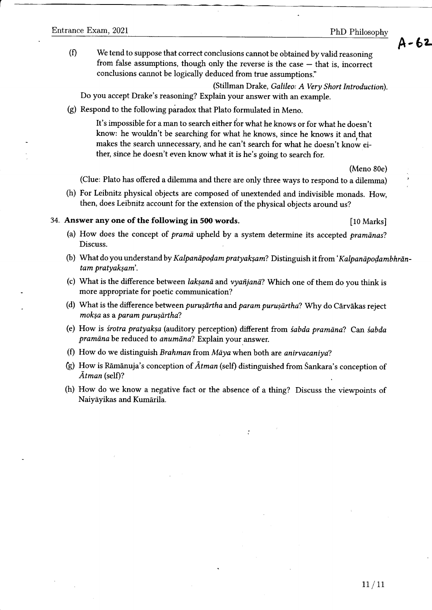(f) We tend to suppose that correct conclusions cannot be obtained by valid reasoning  $A - 62$ from false assumptions, though only the reverse is the case  $-$  that is, incorrect conclusions cannot be logically deduced from true assumptions."

(Stillman Drake, Galileo: A Very Short Introduction).

Do you accept Drake's reasoning? Explain your answer with an example.

(g) Respond to the following paradox that Plato formulated in Meno.

It's impossible for a man to search either for what he knows or for what he doesn't know: he wouldn't be searching for what he knows, since he knows it and that makes the search unnecessary, and he can't search for what he doesn't know either, since he doesn't even know what it is he's going to search for.

(Meno 80e)

:

(Clue: Plato has offered a dilemma and there are only three ways to respond to a dilemma)

(h) For Leibnitz physical objects are composed of unextended and indivisible monads. How then, does Leibnitz account for the extension of the physical objects around us?

### 34. Answer any one of the following in 500 words. [10 Marks]

- (a) How does the concept of pramā upheld by a system determine its accepted pramānas? Discuss.
- (b) What do you understand by Kalpanāpodam pratyakṣam? Distinguish it from 'Kalpanāpodambhrāntam pratyaksam'.
- (c) What is the difference between laksana and vyañjana? Which one of them do you think is more appropriate for poetic communication?
- (d) What is the difference between *purusārtha* and *param purusārtha*? Why do Cārvākas reject moksa as a param purusārtha?
- (e) How is śrotra pratyaksa (auditory perception) different from śabda pramāna? Can śabda pramāna be reduced to anumāna? Explain your answer.
- (f) How do we distinguish Brahman from Māya when both are anirvacaniya?
- (g) How is Rāmānuja's conception of  $\bar{A}$ tman (self) distinguished from Śankara's conception of Atman (self)?
- (h) How do we know a negative fact or the absence of a thing? Discuss the viewpoints of Naiyāyikas and Kumārila.